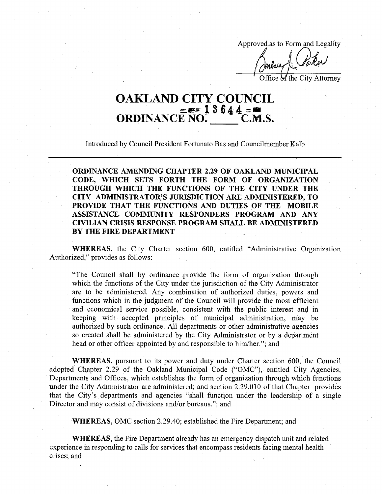Approved as to Form and Legality

Office of the City Attorney

## **OAKLAND CITY COUNCIL <sup>=</sup>eb==~ 1 3 64 4 ORDINANCE NO. \_\_\_\_\_ C.M.S.**

Introduced by Council President Fortunato Bas and Councilmember Kalb

**ORDINANCE AMENDING CHAPTER 2.29 OF OAKLAND MUNICIPAL CODE, WHICH SETS FORTH THE FORM OF ORGANIZATION THROUGH WHICH THE FUNCTIONS OF THE CITY UNDER THE CITY ADMINISTRATOR'S JURISDICTION ARE ADMINISTERED, TO PROVIDE THAT THE FUNCTIONS AND DUTIES OF THE MOBILE ASSISTANCE COMMUNITY RESPONDERS PROGRAM AND ANY CIVILIAN CRISIS RESPONSE PROGRAM SHALL BE ADMINISTERED BY THE FIRE DEPARTMENT**

**WHEREAS,** the City Charter section 600, entitled "Administrative Organization Authorized," provides as follows:

"The Council shall by ordinance provide the form of organization through which the functions of the City under the jurisdiction of the City Administrator are to be administered. Any combination of authorized duties, powers and functions which in the judgment of the Council will provide the most efficient and economical service possible, consistent with the public interest and in keeping with accepted principles of municipal administration, may be authorized by such ordinance. All departments or other administrative agencies so created shall be administered by the City Administrator or by a department head or other officer appointed by and responsible to him/her."; and

**WHEREAS,** pursuant to its power and duty under Charter section 600, the Council adopted Chapter 2.29 of the Oakland Municipal Code ("OMC"), entitled City Agencies, Departments and Offices, which establishes the form of organization through which functions under the City Administrator are administered; and section 2.29.010 of that Chapter provides that the City's departments and agencies "shall function under the leadership of a single Director and may consist of divisions and/or bureaus."; and

**WHEREAS,** OMC section 2.29.40; established the Fire Department; and

**WHEREAS,** the Fire Department already has an emergency dispatch unit and related experience in responding to calls for services that encompass residents facing mental health crises; and